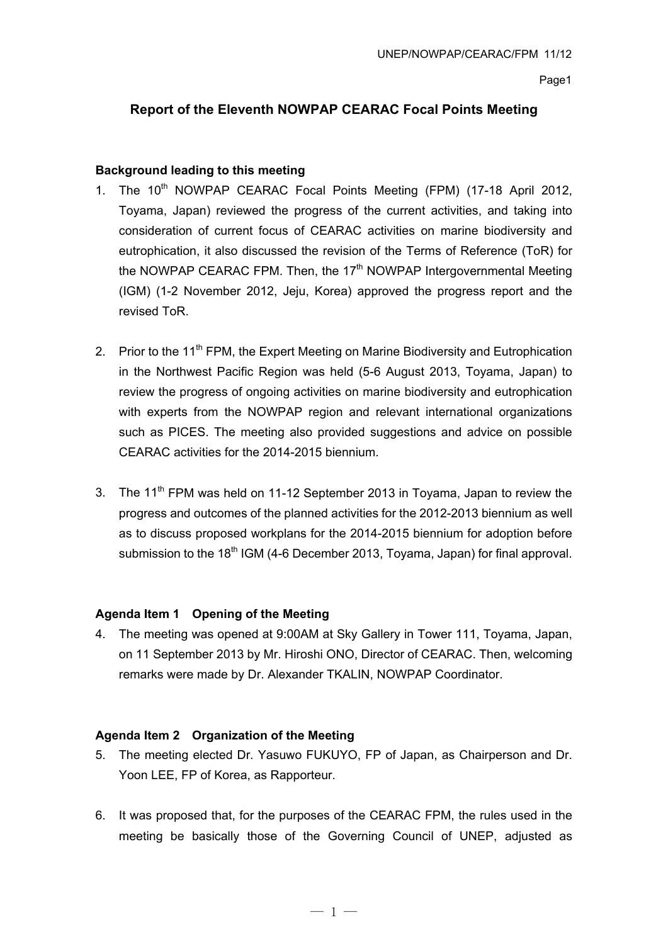## **Report of the Eleventh NOWPAP CEARAC Focal Points Meeting**

### **Background leading to this meeting**

- 1. The 10<sup>th</sup> NOWPAP CEARAC Focal Points Meeting (FPM) (17-18 April 2012, Toyama, Japan) reviewed the progress of the current activities, and taking into consideration of current focus of CEARAC activities on marine biodiversity and eutrophication, it also discussed the revision of the Terms of Reference (ToR) for the NOWPAP CEARAC FPM. Then, the  $17<sup>th</sup>$  NOWPAP Intergovernmental Meeting (IGM) (1-2 November 2012, Jeju, Korea) approved the progress report and the revised ToR.
- 2. Prior to the 11<sup>th</sup> FPM, the Expert Meeting on Marine Biodiversity and Eutrophication in the Northwest Pacific Region was held (5-6 August 2013, Toyama, Japan) to review the progress of ongoing activities on marine biodiversity and eutrophication with experts from the NOWPAP region and relevant international organizations such as PICES. The meeting also provided suggestions and advice on possible CEARAC activities for the 2014-2015 biennium.
- 3. The 11<sup>th</sup> FPM was held on 11-12 September 2013 in Tovama, Japan to review the progress and outcomes of the planned activities for the 2012-2013 biennium as well as to discuss proposed workplans for the 2014-2015 biennium for adoption before submission to the 18<sup>th</sup> IGM (4-6 December 2013, Tovama, Japan) for final approval.

### **Agenda Item 1 Opening of the Meeting**

4. The meeting was opened at 9:00AM at Sky Gallery in Tower 111, Toyama, Japan, on 11 September 2013 by Mr. Hiroshi ONO, Director of CEARAC. Then, welcoming remarks were made by Dr. Alexander TKALIN, NOWPAP Coordinator.

### **Agenda Item 2 Organization of the Meeting**

- 5. The meeting elected Dr. Yasuwo FUKUYO, FP of Japan, as Chairperson and Dr. Yoon LEE, FP of Korea, as Rapporteur.
- 6. It was proposed that, for the purposes of the CEARAC FPM, the rules used in the meeting be basically those of the Governing Council of UNEP, adjusted as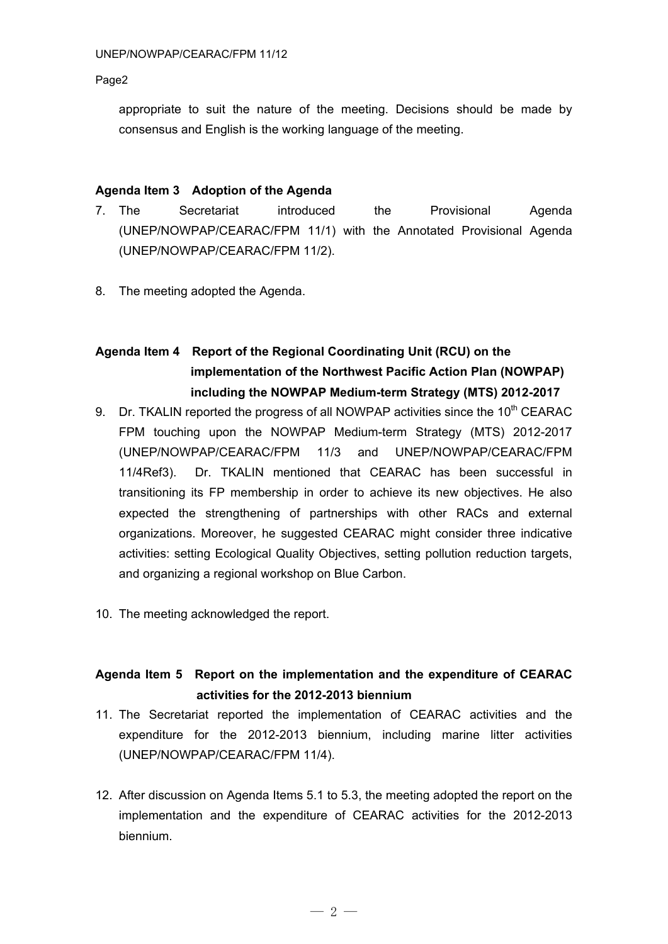appropriate to suit the nature of the meeting. Decisions should be made by consensus and English is the working language of the meeting.

## **Agenda Item 3 Adoption of the Agenda**

- 7. The Secretariat introduced the Provisional Agenda (UNEP/NOWPAP/CEARAC/FPM 11/1) with the Annotated Provisional Agenda (UNEP/NOWPAP/CEARAC/FPM 11/2).
- 8. The meeting adopted the Agenda.

# **Agenda Item 4 Report of the Regional Coordinating Unit (RCU) on the implementation of the Northwest Pacific Action Plan (NOWPAP) including the NOWPAP Medium-term Strategy (MTS) 2012-2017**

- 9. Dr. TKALIN reported the progress of all NOWPAP activities since the  $10<sup>th</sup>$  CEARAC FPM touching upon the NOWPAP Medium-term Strategy (MTS) 2012-2017 (UNEP/NOWPAP/CEARAC/FPM 11/3 and UNEP/NOWPAP/CEARAC/FPM 11/4Ref3). Dr. TKALIN mentioned that CEARAC has been successful in transitioning its FP membership in order to achieve its new objectives. He also expected the strengthening of partnerships with other RACs and external organizations. Moreover, he suggested CEARAC might consider three indicative activities: setting Ecological Quality Objectives, setting pollution reduction targets, and organizing a regional workshop on Blue Carbon.
- 10. The meeting acknowledged the report.

# **Agenda Item 5 Report on the implementation and the expenditure of CEARAC activities for the 2012-2013 biennium**

- 11. The Secretariat reported the implementation of CEARAC activities and the expenditure for the 2012-2013 biennium, including marine litter activities (UNEP/NOWPAP/CEARAC/FPM 11/4).
- 12. After discussion on Agenda Items 5.1 to 5.3, the meeting adopted the report on the implementation and the expenditure of CEARAC activities for the 2012-2013 biennium.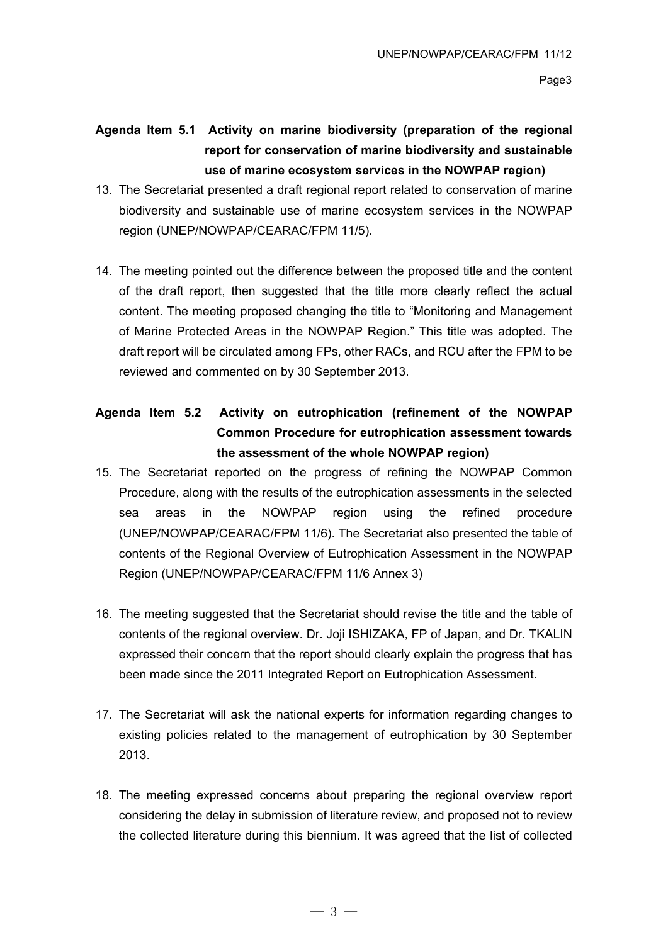# **Agenda Item 5.1 Activity on marine biodiversity (preparation of the regional report for conservation of marine biodiversity and sustainable use of marine ecosystem services in the NOWPAP region)**

- 13. The Secretariat presented a draft regional report related to conservation of marine biodiversity and sustainable use of marine ecosystem services in the NOWPAP region (UNEP/NOWPAP/CEARAC/FPM 11/5).
- 14. The meeting pointed out the difference between the proposed title and the content of the draft report, then suggested that the title more clearly reflect the actual content. The meeting proposed changing the title to "Monitoring and Management of Marine Protected Areas in the NOWPAP Region." This title was adopted. The draft report will be circulated among FPs, other RACs, and RCU after the FPM to be reviewed and commented on by 30 September 2013.

# **Agenda Item 5.2 Activity on eutrophication (refinement of the NOWPAP Common Procedure for eutrophication assessment towards the assessment of the whole NOWPAP region)**

- 15. The Secretariat reported on the progress of refining the NOWPAP Common Procedure, along with the results of the eutrophication assessments in the selected sea areas in the NOWPAP region using the refined procedure (UNEP/NOWPAP/CEARAC/FPM 11/6). The Secretariat also presented the table of contents of the Regional Overview of Eutrophication Assessment in the NOWPAP Region (UNEP/NOWPAP/CEARAC/FPM 11/6 Annex 3)
- 16. The meeting suggested that the Secretariat should revise the title and the table of contents of the regional overview. Dr. Joji ISHIZAKA, FP of Japan, and Dr. TKALIN expressed their concern that the report should clearly explain the progress that has been made since the 2011 Integrated Report on Eutrophication Assessment.
- 17. The Secretariat will ask the national experts for information regarding changes to existing policies related to the management of eutrophication by 30 September 2013.
- 18. The meeting expressed concerns about preparing the regional overview report considering the delay in submission of literature review, and proposed not to review the collected literature during this biennium. It was agreed that the list of collected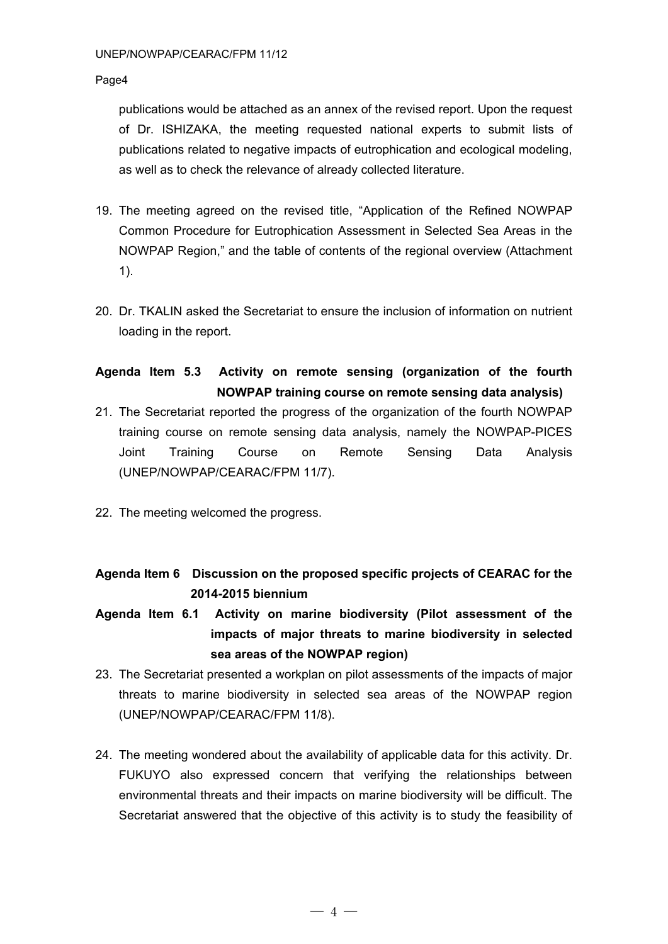publications would be attached as an annex of the revised report. Upon the request of Dr. ISHIZAKA, the meeting requested national experts to submit lists of publications related to negative impacts of eutrophication and ecological modeling, as well as to check the relevance of already collected literature.

- 19. The meeting agreed on the revised title, "Application of the Refined NOWPAP Common Procedure for Eutrophication Assessment in Selected Sea Areas in the NOWPAP Region," and the table of contents of the regional overview (Attachment 1).
- 20. Dr. TKALIN asked the Secretariat to ensure the inclusion of information on nutrient loading in the report.

**Agenda Item 5.3 Activity on remote sensing (organization of the fourth NOWPAP training course on remote sensing data analysis)** 

- 21. The Secretariat reported the progress of the organization of the fourth NOWPAP training course on remote sensing data analysis, namely the NOWPAP-PICES Joint Training Course on Remote Sensing Data Analysis (UNEP/NOWPAP/CEARAC/FPM 11/7).
- 22. The meeting welcomed the progress.

## **Agenda Item 6 Discussion on the proposed specific projects of CEARAC for the 2014-2015 biennium**

- **Agenda Item 6.1 Activity on marine biodiversity (Pilot assessment of the impacts of major threats to marine biodiversity in selected sea areas of the NOWPAP region)**
- 23. The Secretariat presented a workplan on pilot assessments of the impacts of major threats to marine biodiversity in selected sea areas of the NOWPAP region (UNEP/NOWPAP/CEARAC/FPM 11/8).
- 24. The meeting wondered about the availability of applicable data for this activity. Dr. FUKUYO also expressed concern that verifying the relationships between environmental threats and their impacts on marine biodiversity will be difficult. The Secretariat answered that the objective of this activity is to study the feasibility of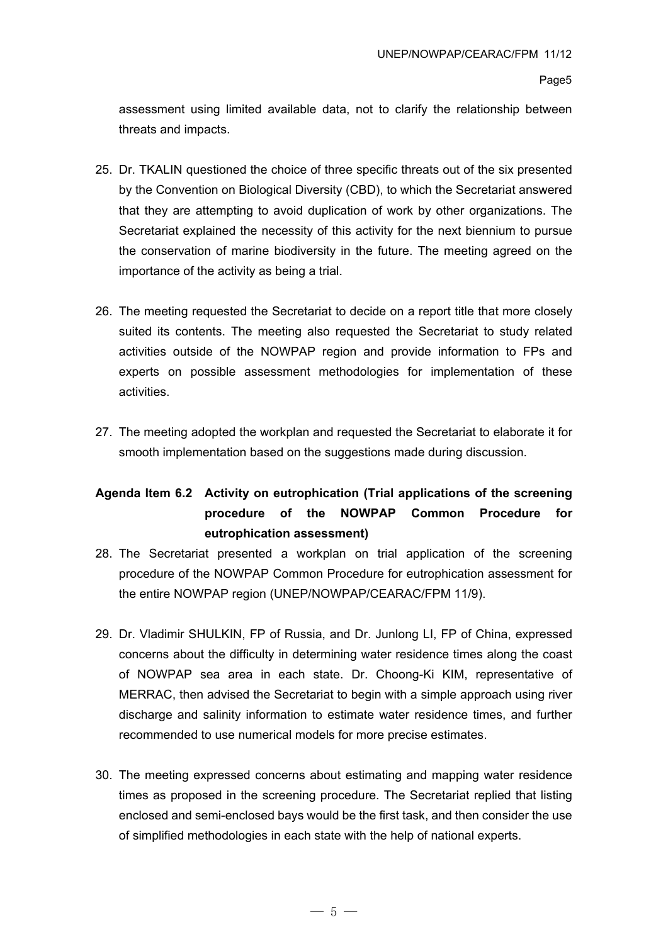assessment using limited available data, not to clarify the relationship between threats and impacts.

- 25. Dr. TKALIN questioned the choice of three specific threats out of the six presented by the Convention on Biological Diversity (CBD), to which the Secretariat answered that they are attempting to avoid duplication of work by other organizations. The Secretariat explained the necessity of this activity for the next biennium to pursue the conservation of marine biodiversity in the future. The meeting agreed on the importance of the activity as being a trial.
- 26. The meeting requested the Secretariat to decide on a report title that more closely suited its contents. The meeting also requested the Secretariat to study related activities outside of the NOWPAP region and provide information to FPs and experts on possible assessment methodologies for implementation of these activities.
- 27. The meeting adopted the workplan and requested the Secretariat to elaborate it for smooth implementation based on the suggestions made during discussion.

# **Agenda Item 6.2 Activity on eutrophication (Trial applications of the screening procedure of the NOWPAP Common Procedure for eutrophication assessment)**

- 28. The Secretariat presented a workplan on trial application of the screening procedure of the NOWPAP Common Procedure for eutrophication assessment for the entire NOWPAP region (UNEP/NOWPAP/CEARAC/FPM 11/9).
- 29. Dr. Vladimir SHULKIN, FP of Russia, and Dr. Junlong LI, FP of China, expressed concerns about the difficulty in determining water residence times along the coast of NOWPAP sea area in each state. Dr. Choong-Ki KIM, representative of MERRAC, then advised the Secretariat to begin with a simple approach using river discharge and salinity information to estimate water residence times, and further recommended to use numerical models for more precise estimates.
- 30. The meeting expressed concerns about estimating and mapping water residence times as proposed in the screening procedure. The Secretariat replied that listing enclosed and semi-enclosed bays would be the first task, and then consider the use of simplified methodologies in each state with the help of national experts.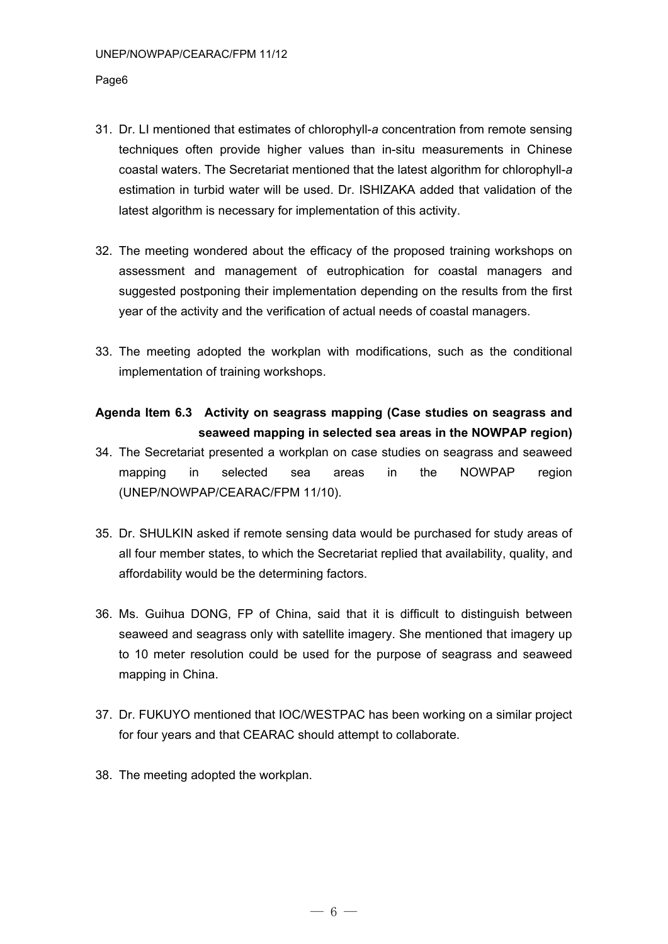- 31. Dr. LI mentioned that estimates of chlorophyll-*a* concentration from remote sensing techniques often provide higher values than in-situ measurements in Chinese coastal waters. The Secretariat mentioned that the latest algorithm for chlorophyll-*a* estimation in turbid water will be used. Dr. ISHIZAKA added that validation of the latest algorithm is necessary for implementation of this activity.
- 32. The meeting wondered about the efficacy of the proposed training workshops on assessment and management of eutrophication for coastal managers and suggested postponing their implementation depending on the results from the first year of the activity and the verification of actual needs of coastal managers.
- 33. The meeting adopted the workplan with modifications, such as the conditional implementation of training workshops.

**Agenda Item 6.3 Activity on seagrass mapping (Case studies on seagrass and seaweed mapping in selected sea areas in the NOWPAP region)**

- 34. The Secretariat presented a workplan on case studies on seagrass and seaweed mapping in selected sea areas in the NOWPAP region (UNEP/NOWPAP/CEARAC/FPM 11/10).
- 35. Dr. SHULKIN asked if remote sensing data would be purchased for study areas of all four member states, to which the Secretariat replied that availability, quality, and affordability would be the determining factors.
- 36. Ms. Guihua DONG, FP of China, said that it is difficult to distinguish between seaweed and seagrass only with satellite imagery. She mentioned that imagery up to 10 meter resolution could be used for the purpose of seagrass and seaweed mapping in China.
- 37. Dr. FUKUYO mentioned that IOC/WESTPAC has been working on a similar project for four years and that CEARAC should attempt to collaborate.
- 38. The meeting adopted the workplan.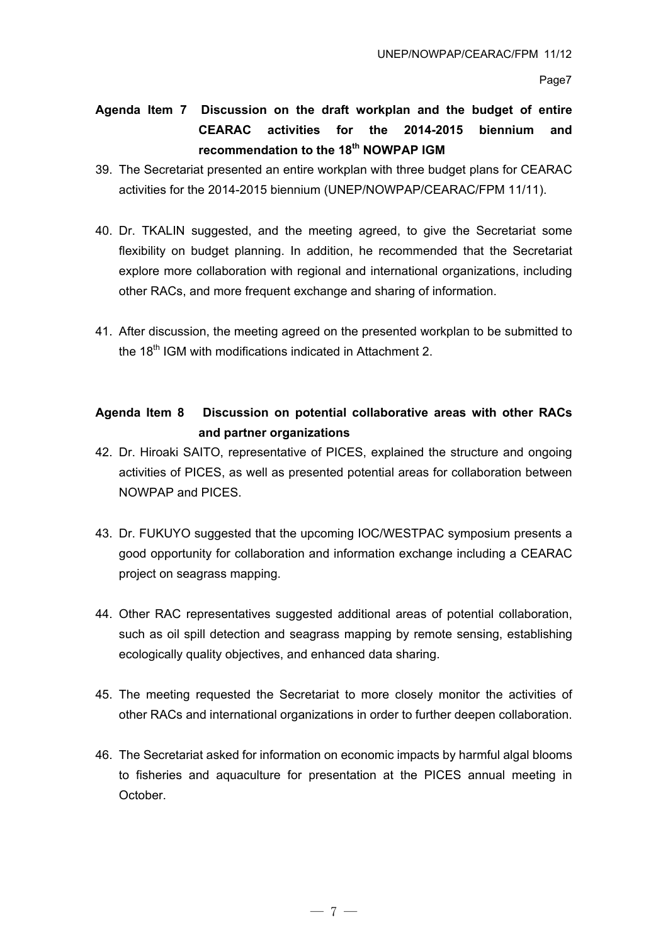# **Agenda Item 7 Discussion on the draft workplan and the budget of entire CEARAC activities for the 2014-2015 biennium and recommendation to the 18th NOWPAP IGM**

- 39. The Secretariat presented an entire workplan with three budget plans for CEARAC activities for the 2014-2015 biennium (UNEP/NOWPAP/CEARAC/FPM 11/11).
- 40. Dr. TKALIN suggested, and the meeting agreed, to give the Secretariat some flexibility on budget planning. In addition, he recommended that the Secretariat explore more collaboration with regional and international organizations, including other RACs, and more frequent exchange and sharing of information.
- 41. After discussion, the meeting agreed on the presented workplan to be submitted to the 18th IGM with modifications indicated in Attachment 2.

## **Agenda Item 8 Discussion on potential collaborative areas with other RACs and partner organizations**

- 42. Dr. Hiroaki SAITO, representative of PICES, explained the structure and ongoing activities of PICES, as well as presented potential areas for collaboration between NOWPAP and PICES.
- 43. Dr. FUKUYO suggested that the upcoming IOC/WESTPAC symposium presents a good opportunity for collaboration and information exchange including a CEARAC project on seagrass mapping.
- 44. Other RAC representatives suggested additional areas of potential collaboration, such as oil spill detection and seagrass mapping by remote sensing, establishing ecologically quality objectives, and enhanced data sharing.
- 45. The meeting requested the Secretariat to more closely monitor the activities of other RACs and international organizations in order to further deepen collaboration.
- 46. The Secretariat asked for information on economic impacts by harmful algal blooms to fisheries and aquaculture for presentation at the PICES annual meeting in October.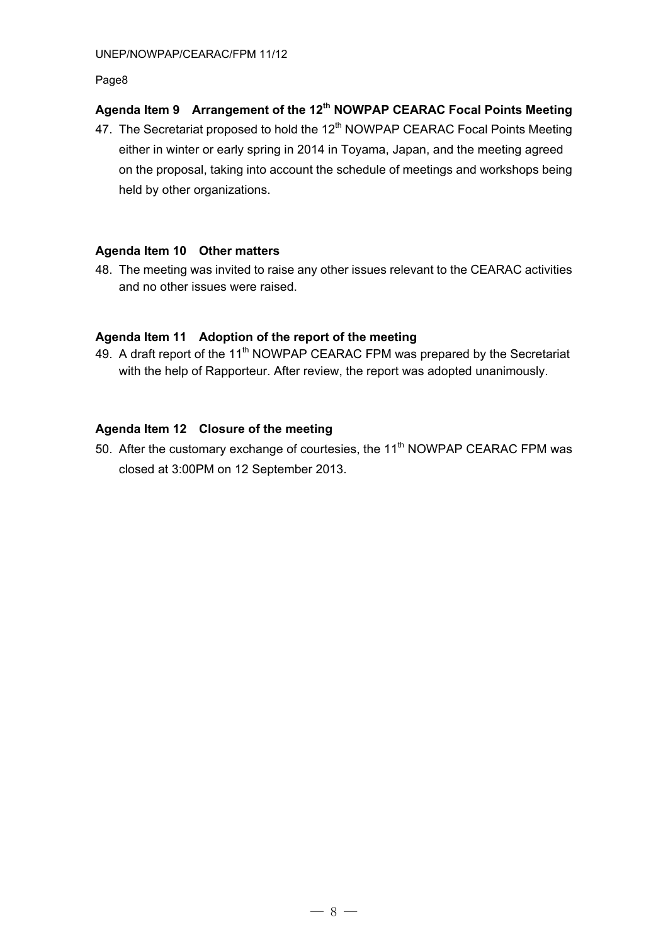## **Agenda Item 9 Arrangement of the 12th NOWPAP CEARAC Focal Points Meeting**

47. The Secretariat proposed to hold the 12<sup>th</sup> NOWPAP CEARAC Focal Points Meeting either in winter or early spring in 2014 in Toyama, Japan, and the meeting agreed on the proposal, taking into account the schedule of meetings and workshops being held by other organizations.

## **Agenda Item 10 Other matters**

48. The meeting was invited to raise any other issues relevant to the CEARAC activities and no other issues were raised.

## **Agenda Item 11 Adoption of the report of the meeting**

49. A draft report of the 11<sup>th</sup> NOWPAP CEARAC FPM was prepared by the Secretariat with the help of Rapporteur. After review, the report was adopted unanimously.

## **Agenda Item 12 Closure of the meeting**

50. After the customary exchange of courtesies, the 11<sup>th</sup> NOWPAP CEARAC FPM was closed at 3:00PM on 12 September 2013.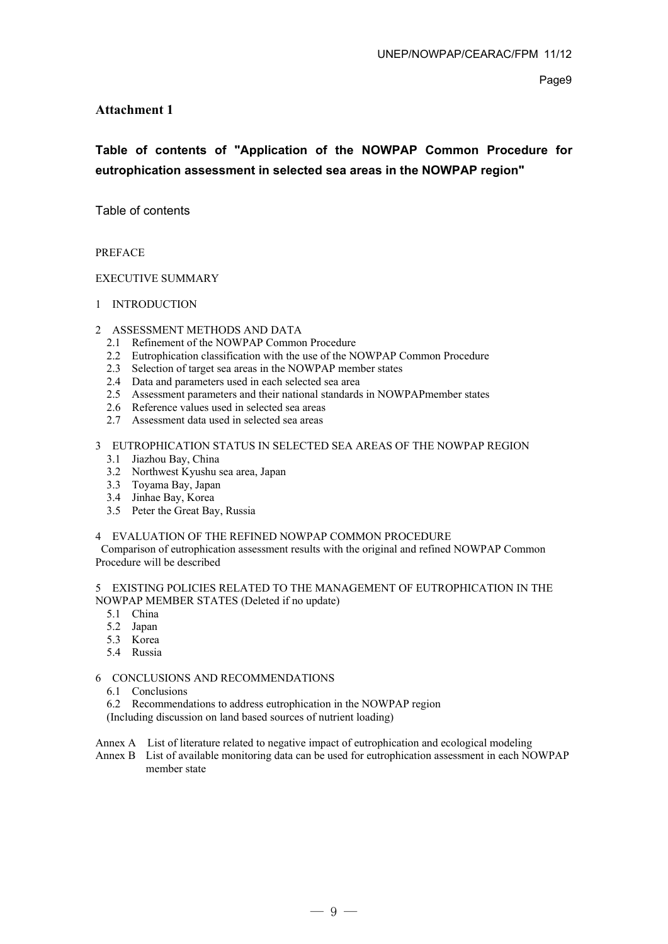### **Attachment 1**

## **Table of contents of "Application of the NOWPAP Common Procedure for eutrophication assessment in selected sea areas in the NOWPAP region"**

### Table of contents

#### PREFACE

#### EXECUTIVE SUMMARY

- 1 INTRODUCTION
- 2 ASSESSMENT METHODS AND DATA
	- 2.1 Refinement of the NOWPAP Common Procedure
	- 2.2 Eutrophication classification with the use of the NOWPAP Common Procedure
	- 2.3 Selection of target sea areas in the NOWPAP member states
	- 2.4 Data and parameters used in each selected sea area
	- 2.5 Assessment parameters and their national standards in NOWPAP member states
	- 2.6 Reference values used in selected sea areas
	- 2.7 Assessment data used in selected sea areas

#### 3 EUTROPHICATION STATUS IN SELECTED SEA AREAS OF THE NOWPAP REGION

- 3.1 Jiazhou Bay, China
- 3.2 Northwest Kyushu sea area, Japan
- 3.3 Toyama Bay, Japan
- 3.4 Jinhae Bay, Korea
	- 3.5 Peter the Great Bay, Russia

#### 4 EVALUATION OF THE REFINED NOWPAP COMMON PROCEDURE

 Comparison of eutrophication assessment results with the original and refined NOWPAP Common Procedure will be described

#### 5 EXISTING POLICIES RELATED TO THE MANAGEMENT OF EUTROPHICATION IN THE NOWPAP MEMBER STATES (Deleted if no update)

- 5.1 China
- 5.2 Japan
- 5.3 Korea
- 5.4 Russia

#### 6 CONCLUSIONS AND RECOMMENDATIONS

- 6.1 Conclusions
- 6.2 Recommendations to address eutrophication in the NOWPAP region (Including discussion on land based sources of nutrient loading)
- Annex A List of literature related to negative impact of eutrophication and ecological modeling
- Annex B List of available monitoring data can be used for eutrophication assessment in each NOWPAP member state